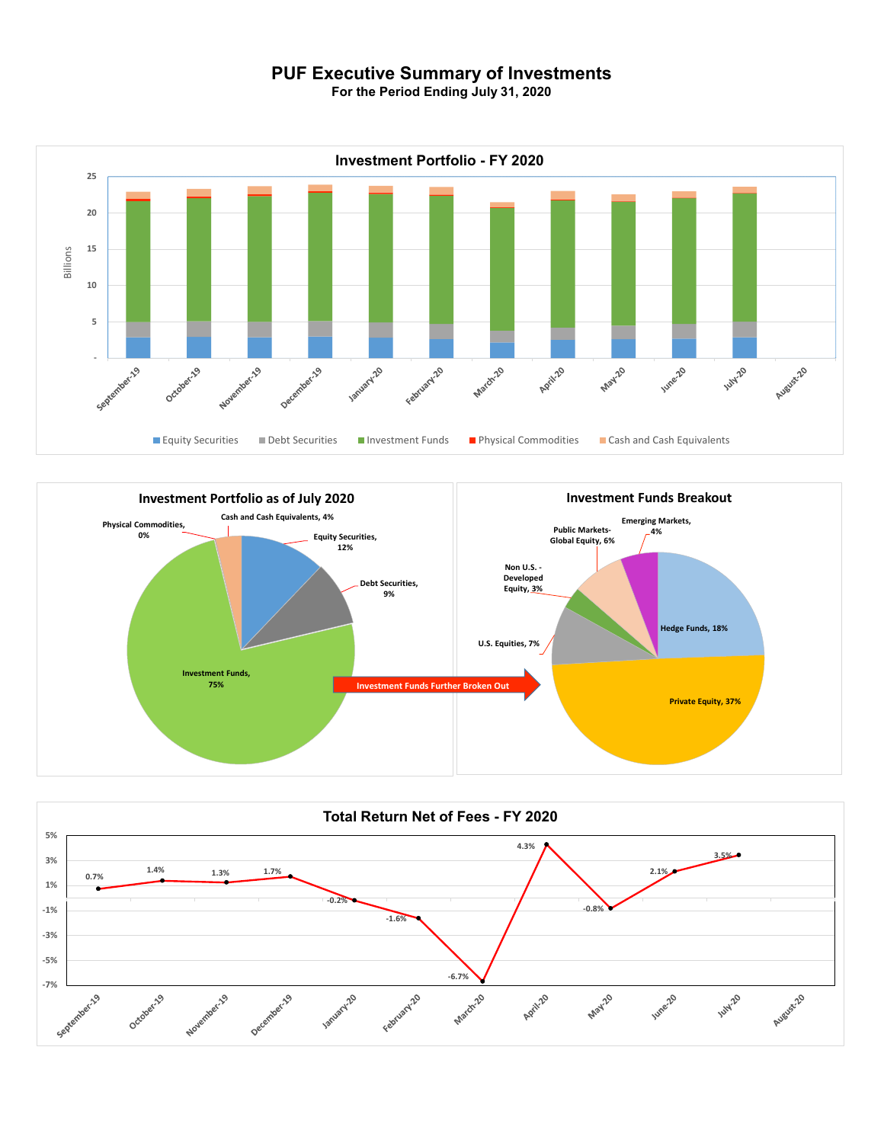## **PUF Executive Summary of Investments**

**For the Period Ending July 31, 2020**